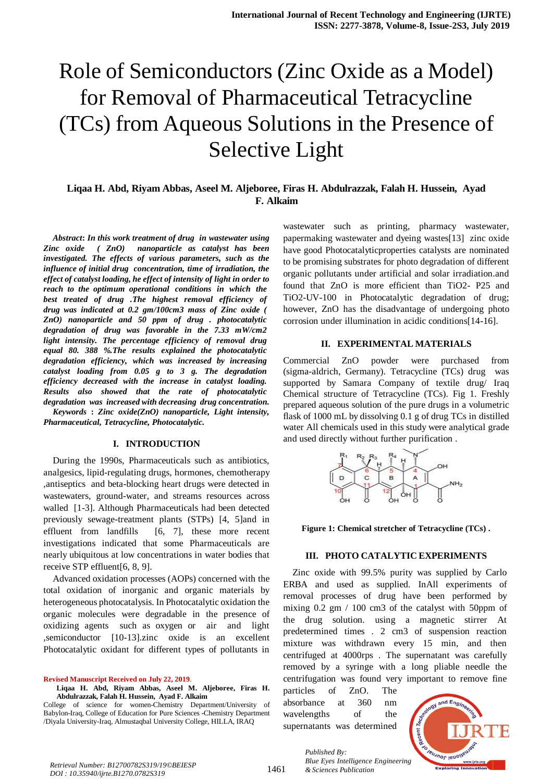# Role of Semiconductors (Zinc Oxide as a Model) for Removal of Pharmaceutical Tetracycline (TCs) from Aqueous Solutions in the Presence of Selective Light

# **Liqaa H. Abd, Riyam Abbas, Aseel M. Aljeboree, Firas H. Abdulrazzak, Falah H. Hussein, Ayad F. Alkaim**

*Abstract***:** *In this work treatment of drug in wastewater using Zinc oxide ( ZnO) nanoparticle as catalyst has been investigated. The effects of various parameters, such as the influence of initial drug concentration, time of irradiation, the effect of catalyst loading, he effect of intensity of light in order to reach to the optimum operational conditions in which the best treated of drug .The highest removal efficiency <i>of drugWas indicated at* 0.2  $gm/100cm3$  *mass of Zinc oxide* ( *ZnO*) nanoparticle and 50 ppm of drug *a* photocatalytic *degradation of drug was favorable in the 7.33 mW/cm2 Iight intensity. The percentage efficiency of removal drug equal* 80. 388 %.The results explained the photocatalytic *degradation efficiency*, *which was increased by increasing catalyst loading from* 0.05 *g to* 3 *g. The degradation efficiency decreased with the increase in catalyst loading. Results also showed that the rate of photocatalytic degradation* was increased with decreasing drug concentration.

*Keywords* **:** *Zinc oxide(ZnO) nanoparticle, Light intensity, Pharmaceutical, Tetracycline, Photocatalytic.*

#### **I. INTRODUCTION**

During the 1990s, Pharmaceuticals such as antibiotics, analgesics, lipid-regulating drugs, hormones, chemotherapy ,antiseptics and beta-blocking heart drugs were detected in wastewaters, ground-water, and streams resources across walled [1-3]. Although Pharmaceuticals had been detected previously sewage-treatment plants (STPs) [4, 5]and in effluent from landfills [6, 7], these more recent investigations indicated that some Pharmaceuticals are nearly ubiquitous at low concentrations in water bodies that receive STP effluent[6, 8, 9].

Advanced oxidation processes (AOPs) concerned with the total oxidation of inorganic and organic materials by heterogeneous photocatalysis. In Photocatalytic oxidation the organic molecules were degradable in the presence of oxidizing agents such as oxygen or air and light ,semiconductor [10-13].zinc oxide is an excellent Photocatalytic oxidant for different types of pollutants in

**Revised Manuscript Received on July 22, 2019**.

College of science for women-Chemistry Department/University of Babylon-Iraq, College of Education for Pure Sciences -Chemistry Department /Diyala University-Iraq, Almustaqbal University College, HILLA, IRAQ

wastewater such as printing, pharmacy wastewater, papermaking wastewater and dyeing wastes[13] zinc oxide have good Photocatalyticproperties catalysts are nominated to be promising substrates for photo degradation of different organic pollutants under artificial and solar irradiation.and found that ZnO is more efficient than TiO2- P25 and TiO2-UV-100 in Photocatalytic degradation of drug; however, ZnO has the disadvantage of undergoing photo corrosion under illumination in acidic conditions[14-16].

#### **II. EXPERIMENTAL MATERIALS**

Commercial ZnO powder were purchased from (sigma-aldrich, Germany). Tetracycline (TCs) drug was supported by Samara Company of textile drug/ Iraq Chemical structure of Tetracycline (TCs). Fig 1. Freshly prepared aqueous solution of the pure drugs in a volumetric flask of 1000 mL by dissolving 0.1 g of drug TCs in distilled water All chemicals used in this study were analytical grade and used directly without further purification .



**Figure 1: Chemical stretcher of Tetracycline (TCs) .**

### **III. PHOTO CATALYTIC EXPERIMENTS**

Zinc oxide with 99.5% purity was supplied by Carlo ERBA and used as supplied. InAll experiments of removal processes of drug have been performed by mixing  $0.2 \text{ gm}$  / 100 cm3 of the catalyst with 50ppm of the drug solution. using a magnetic stirrer At predetermined times .  $2 \text{ cm}3$  of suspension reaction mixture was withdrawn every 15 min, and then centrifuged at 4000rps. The supernatant was carefully removed by a syringe with a long pliable needle the centrifugation was found very important to remove fine

particles of ZnO. The absorbance at 360 nm wavelengths of the supernatants was determined

*Published By:*



**Liqaa H. Abd, Riyam Abbas, Aseel M. Aljeboree, Firas H. Abdulrazzak, Falah H. Hussein, Ayad F. Alkaim**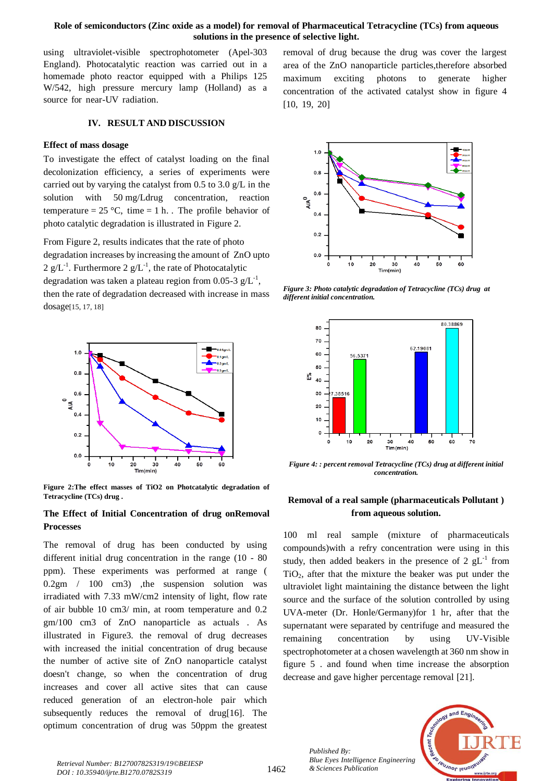### **Role of semiconductors (Zinc oxide as a model) for removal of Pharmaceutical Tetracycline (TCs) from aqueous solutions in the presence of selective light.**

 $[10, 19, 20]$ 

using ultraviolet-visible spectrophotometer (Apel-303 England). Photocatalytic reaction was carried out in a homemade photo reactor equipped with a Philips  $125$ W/542, high pressure mercury lamp (Holland) as a source for near-UV radiation.

## **IV. RESULT AND DISCUSSION**

#### **Effect of mass dosage**

To investigate the effect of catalyst loading on the final decolonization efficiency, a series of experiments were carried out by varying the catalyst from 0.5 to 3.0 g/L in the solution with 50 mg/Ldrug concentration, reaction temperature =  $25^{\circ}$ C, time = 1 h. The profile behavior of photo catalytic degradation is illustrated in [Figure 2.](http://www.sciencedirect.com/science/article/pii/S0304389406008168#fig7)

From Figure 2, results indicates that the rate of photo degradation increases by increasing the amount of ZnO upto 2  $g/L^{-1}$ . Furthermore 2  $g/L^{-1}$ , the rate of Photocatalytic degradation was taken a plateau region from 0.05-3  $g/L^{-1}$ , then the rate of degradation decreased with increase in mass dosage[15, 17, 18]



**Figure 2:The effect masses of TiO2 on Photcatalytic degradation of Tetracycline (TCs) drug .**

## **The Effect of Initial Concentration of drug onRemoval Processes**

The removal of drug has been conducted by using different initial drug concentration in the range (10 - 80 ppm). These experiments was performed at range (  $0.2$ gm /  $100 \text{ cm}$ 3) ,the suspension solution was irradiated with  $7.33$  mW/cm2 intensity of light, flow rate of air bubble  $10 \text{ cm}$ 3/ min, at room temperature and 0.2  $gm/100$  cm3 of ZnO nanoparticle as actuals . As illustrated in Figure3. the removal of drug decreases with increased the initial concentration of drug because the number of active site of ZnO nanoparticle catalyst doesn't change, so when the concentration of drug increases and cover all active sites that can cause reduced generation of an electron-hole pair which subsequently reduces the removal of drug[16]. The optimum concentration of drug was 50ppm the greatest



removal of drug because the drug was cover the largest area of the ZnO nanoparticle particles,therefore absorbed maximum exciting photons to generate higher concentration of the activated catalyst show in figure  $4$ 

*Figure 3: Photo catalytic degradation of Tetracycline (TCs) drug at different initial concentration.*



*Figure 4: : percent removal Tetracycline (TCs) drug at different initial concentration.*

## **Removal of a real sample (pharmaceuticals Pollutant ) from aqueous solution.**

100 ml real sample (mixture of pharmaceuticals compounds)with a refry concentration were using in this study, then added beakers in the presence of 2  $gL^{-1}$  from  $TiO<sub>2</sub>$ , after that the mixture the beaker was put under the ultraviolet light maintaining the distance between the light source and the surface of the solution controlled by using UVA-meter (Dr. Honle/Germany)for 1 hr, after that the supernatant were separated by centrifuge and measured the remaining concentration by using UV-Visible spectrophotometer at a chosen wavelength at 360 nm show in figure 5 . and found when time increase the absorption decrease and gave higher percentage removal [21].

> *Published By: Blue Eyes Intelligence Engineering*